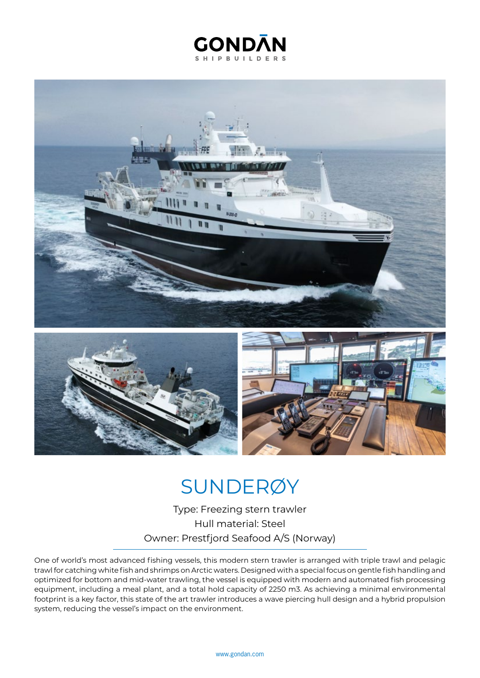## **GONDAN SHIPBUILDERS**



## SUNDERØY

Type: Freezing stern trawler Hull material: Steel Owner: Prestfjord Seafood A/S (Norway)

One of world's most advanced fishing vessels, this modern stern trawler is arranged with triple trawl and pelagic trawl for catching white fish and shrimps on Arctic waters. Designed with a special focus on gentle fish handling and optimized for bottom and mid-water trawling, the vessel is equipped with modern and automated fish processing equipment, including a meal plant, and a total hold capacity of 2250 m3. As achieving a minimal environmental footprint is a key factor, this state of the art trawler introduces a wave piercing hull design and a hybrid propulsion system, reducing the vessel's impact on the environment.